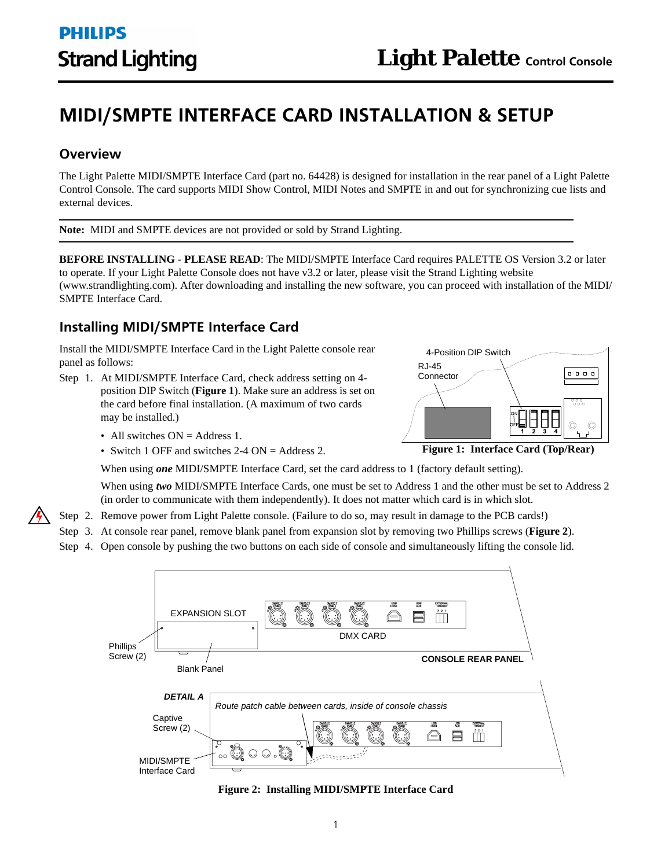## **MIDI/SMPTE INTERFACE CARD INSTALLATION & SETUP**

#### **Overview**

The Light Palette MIDI/SMPTE Interface Card (part no. 64428) is designed for installation in the rear panel of a Light Palette Control Console. The card supports MIDI Show Control, MIDI Notes and SMPTE in and out for synchronizing cue lists and external devices.

**Note:** MIDI and SMPTE devices are not provided or sold by Strand Lighting.

**BEFORE INSTALLING - PLEASE READ**: The MIDI/SMPTE Interface Card requires PALETTE OS Version 3.2 or later to operate. If your Light Palette Console does not have v3.2 or later, please visit the Strand Lighting website (www.strandlighting.com). After downloading and installing the new software, you can proceed with installation of the MIDI/ SMPTE Interface Card.

#### **Installing MIDI/SMPTE Interface Card**

Install the MIDI/SMPTE Interface Card in the Light Palette console rear panel as follows:

- Step 1. At MIDI/SMPTE Interface Card, check address setting on 4 position DIP Switch (**Figure 1**). Make sure an address is set on the card before final installation. (A maximum of two cards may be installed.)
	- All switches  $ON = Address 1$ .
	- Switch 1 OFF and switches 2-4 ON = Address 2.



4-Position DIP Switch

**Figure 1: Interface Card (Top/Rear)**

When using *one* MIDI/SMPTE Interface Card, set the card address to 1 (factory default setting).

When using *two* MIDI/SMPTE Interface Cards, one must be set to Address 1 and the other must be set to Address 2 (in order to communicate with them independently). It does not matter which card is in which slot.

- Step 2. Remove power from Light Palette console. (Failure to do so, may result in damage to the PCB cards!)
- Step 3. At console rear panel, remove blank panel from expansion slot by removing two Phillips screws (**Figure 2**).
- Step 4. Open console by pushing the two buttons on each side of console and simultaneously lifting the console lid.